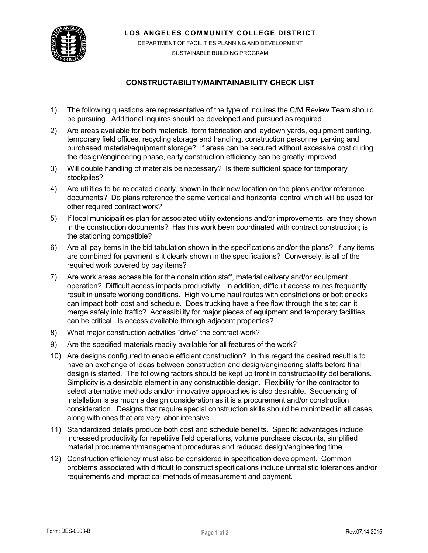**LOS ANGELES COMMUNITY COLLEGE DISTRICT**



DEPARTMENT OF FACILITIES PLANNING AND DEVELOPMENT SUSTAINABLE BUILDING PROGRAM

## **CONSTRUCTABILITY/MAINTAINABILITY CHECK LIST**

- 1) The following questions are representative of the type of inquires the C/M Review Team should be pursuing. Additional inquires should be developed and pursued as required
- 2) Are areas available for both materials, form fabrication and laydown yards, equipment parking, temporary field offices, recycling storage and handling, construction personnel parking and purchased material/equipment storage? If areas can be secured without excessive cost during the design/engineering phase, early construction efficiency can be greatly improved.
- 3) Will double handling of materials be necessary? Is there sufficient space for temporary stockpiles?
- 4) Are utilities to be relocated clearly, shown in their new location on the plans and/or reference documents? Do plans reference the same vertical and horizontal control which will be used for other required contract work?
- 5) If local municipalities plan for associated utility extensions and/or improvements, are they shown in the construction documents? Has this work been coordinated with contract construction; is the stationing compatible?
- 6) Are all pay items in the bid tabulation shown in the specifications and/or the plans? If any items are combined for payment is it clearly shown in the specifications? Conversely, is all of the required work covered by pay items?
- 7) Are work areas accessible for the construction staff, material delivery and/or equipment operation? Difficult access impacts productivity. In addition, difficult access routes frequently result in unsafe working conditions. High volume haul routes with constrictions or bottlenecks can impact both cost and schedule. Does trucking have a free flow through the site; can it merge safely into traffic? Accessibility for major pieces of equipment and temporary facilities can be critical. Is access available through adjacent properties?
- 8) What major construction activities "drive" the contract work?
- 9) Are the specified materials readily available for all features of the work?
- 10) Are designs configured to enable efficient construction? In this regard the desired result is to have an exchange of ideas between construction and design/engineering staffs before final design is started. The following factors should be kept up front in constructability deliberations. Simplicity is a desirable element in any constructible design. Flexibility for the contractor to select alternative methods and/or innovative approaches is also desirable. Sequencing of installation is as much a design consideration as it is a procurement and/or construction consideration. Designs that require special construction skills should be minimized in all cases, along with ones that are very labor intensive.
- 11) Standardized details produce both cost and schedule benefits. Specific advantages include increased productivity for repetitive field operations, volume purchase discounts, simplified material procurement/management procedures and reduced design/engineering time.
- 12) Construction efficiency must also be considered in specification development. Common problems associated with difficult to construct specifications include unrealistic tolerances and/or requirements and impractical methods of measurement and payment.